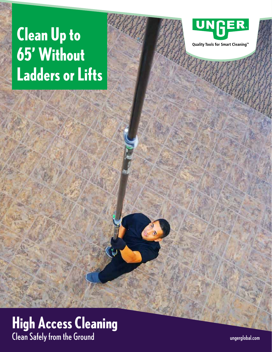# **Clean Up to 65' Without Ladders or Lifts**



Quality Tools for Smart Cleaning™

### **High Access Cleaning** Clean Safely from the Ground

ungerglobal.com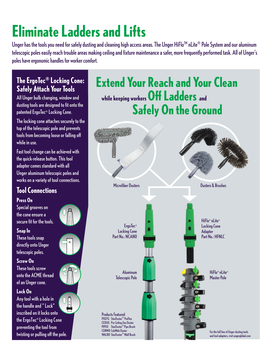# **Eliminate Ladders and Lifts**

Unger has the tools you need for safely dusting and cleaning high access areas. The Unger HiFlo™ nLite® Pole System and our aluminum telescopic poles easily reach trouble areas making ceiling and fixture maintenance a safer, more frequently performed task. All of Unger's poles have ergonomic handles for worker comfort.

#### **The ErgoTec® Locking Cone: Safely Attach Your Tools**

All Unger bulb changing, window and dusting tools are designed to fit onto the patented ErgoTec® Locking Cone.

The locking cone attaches securely to the top of the telescopic pole and prevents tools from becoming loose or falling off while in use.

Fast tool change can be achieved with the quick-release button. This tool adapter comes standard with all Unger aluminum telescopic poles and works on a variety of tool connections.

### **Tool Connections**

#### **Press On**

**Snap In**

Special grooves on the cone ensure a secure fit for the tools.



directly onto Unger telescopic poles.

**Screw On** These tools screw onto the ACME thread of an Unger cone.

#### **Lock On**

Any tool with a hole in  $\frac{1}{\sqrt{2}}$ the handle and " Lock" inscribed on it locks onto the ErgoTec® Locking Cone preventing the tool from twisting or pulling off the pole.





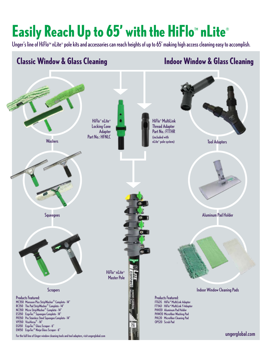## **Easily Reach Up to 65' with the HiFlo™ nLite®**

Unger's line of HiFlom nLite® pole kits and accessories can reach heights of up to 65' making high access cleaning easy to accomplish.

### **Classic Window & Glass Cleaning**

### **Indoor Window & Glass Cleaning**